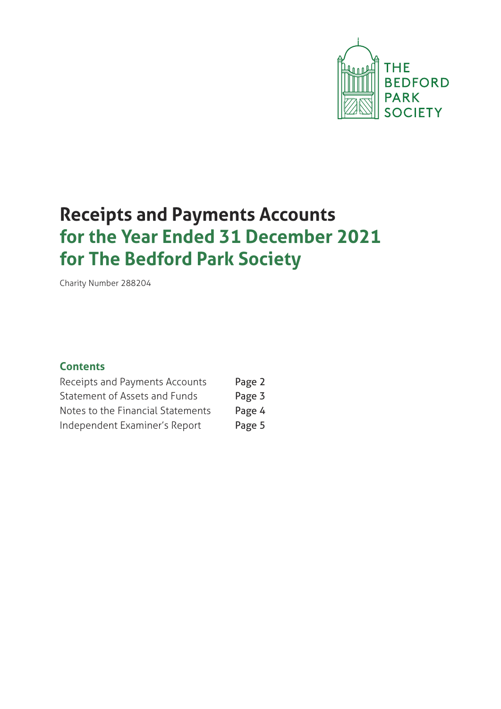

# **Receipts and Payments Accounts for the Year Ended 31 December 2021 for The Bedford Park Society**

Charity Number 288204

### **Contents**

| Receipts and Payments Accounts    | Page 2 |
|-----------------------------------|--------|
| Statement of Assets and Funds     | Page 3 |
| Notes to the Financial Statements | Page 4 |
| Independent Examiner's Report     | Page 5 |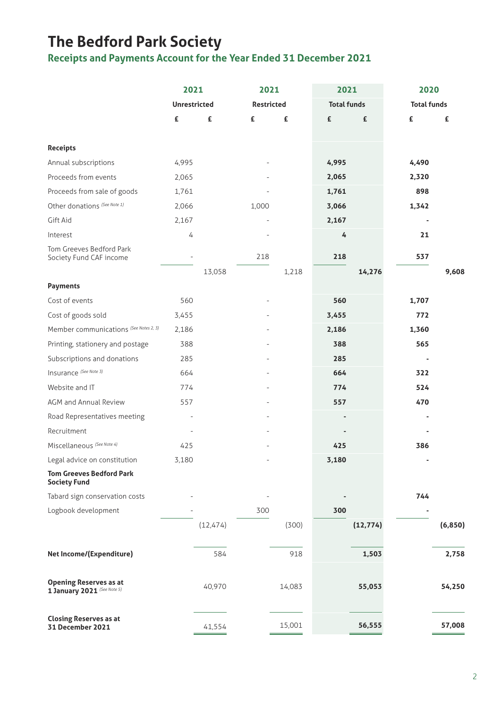# **The Bedford Park Society**

**Receipts and Payments Account for the Year Ended 31 December 2021**

|                                                              | 2021                |           | 2021              |        | 2021               |           | 2020                     |          |
|--------------------------------------------------------------|---------------------|-----------|-------------------|--------|--------------------|-----------|--------------------------|----------|
|                                                              | <b>Unrestricted</b> |           | <b>Restricted</b> |        | <b>Total funds</b> |           | <b>Total funds</b>       |          |
|                                                              | £                   | £         | £                 | £      | £                  | £         | £                        | £        |
|                                                              |                     |           |                   |        |                    |           |                          |          |
| <b>Receipts</b>                                              |                     |           |                   |        |                    |           |                          |          |
| Annual subscriptions                                         | 4,995               |           |                   |        | 4,995              |           | 4,490                    |          |
| Proceeds from events                                         | 2,065               |           |                   |        | 2,065              |           | 2,320                    |          |
| Proceeds from sale of goods                                  | 1,761               |           |                   |        | 1,761              |           | 898                      |          |
| Other donations (See Note 1)                                 | 2,066               |           | 1,000             |        | 3,066              |           | 1,342                    |          |
| Gift Aid                                                     | 2,167               |           |                   |        | 2,167              |           |                          |          |
| Interest                                                     | 4                   |           |                   |        | 4                  |           | 21                       |          |
| Tom Greeves Bedford Park<br>Society Fund CAF income          |                     |           | 218               |        | 218                |           | 537                      |          |
|                                                              |                     | 13,058    |                   | 1,218  |                    | 14,276    |                          | 9,608    |
| <b>Payments</b>                                              |                     |           |                   |        |                    |           |                          |          |
| Cost of events                                               | 560                 |           |                   |        | 560                |           | 1,707                    |          |
| Cost of goods sold                                           | 3,455               |           |                   |        | 3,455              |           | 772                      |          |
| Member communications (See Notes 2, 3)                       | 2,186               |           |                   |        | 2,186              |           | 1,360                    |          |
| Printing, stationery and postage                             | 388                 |           |                   |        | 388                |           | 565                      |          |
| Subscriptions and donations                                  | 285                 |           |                   |        | 285                |           | $\overline{\phantom{a}}$ |          |
| Insurance (See Note 3)                                       | 664                 |           |                   |        | 664                |           | 322                      |          |
| Website and IT                                               | 774                 |           |                   |        | 774                |           | 524                      |          |
| AGM and Annual Review                                        | 557                 |           |                   |        | 557                |           | 470                      |          |
| Road Representatives meeting                                 |                     |           |                   |        |                    |           |                          |          |
| Recruitment                                                  |                     |           |                   |        |                    |           |                          |          |
| Miscellaneous (See Note 4)                                   | 425                 |           |                   |        | 425                |           | 386                      |          |
| Legal advice on constitution                                 | 3,180               |           |                   |        | 3,180              |           |                          |          |
| <b>Tom Greeves Bedford Park</b><br><b>Society Fund</b>       |                     |           |                   |        |                    |           |                          |          |
| Tabard sign conservation costs                               |                     |           |                   |        |                    |           | 744                      |          |
| Logbook development                                          |                     |           | 300               |        | 300                |           |                          |          |
|                                                              |                     | (12, 474) |                   | (300)  |                    | (12, 774) |                          | (6, 850) |
| Net Income/(Expenditure)                                     |                     | 584       |                   | 918    |                    | 1,503     |                          | 2,758    |
|                                                              |                     |           |                   |        |                    |           |                          |          |
| <b>Opening Reserves as at</b><br>1 January 2021 (See Note 5) |                     | 40,970    |                   | 14,083 |                    | 55,053    |                          | 54,250   |
| <b>Closing Reserves as at</b><br>31 December 2021            |                     | 41,554    |                   | 15,001 |                    | 56,555    |                          | 57,008   |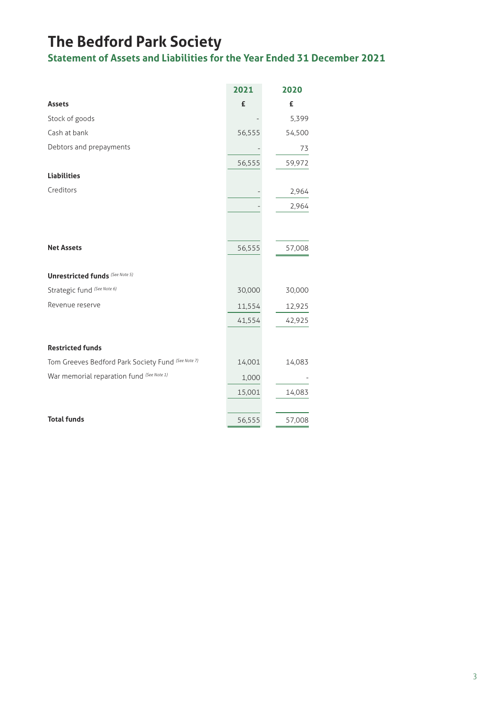# **The Bedford Park Society**

**Statement of Assets and Liabilities for the Year Ended 31 December 2021**

|                                                    | 2021   | 2020   |
|----------------------------------------------------|--------|--------|
| <b>Assets</b>                                      | £      | £      |
| Stock of goods                                     |        | 5,399  |
| Cash at bank                                       | 56,555 | 54,500 |
| Debtors and prepayments                            |        | 73     |
|                                                    | 56,555 | 59,972 |
| <b>Liabilities</b>                                 |        |        |
| Creditors                                          |        | 2,964  |
|                                                    |        | 2,964  |
|                                                    |        |        |
|                                                    |        |        |
| <b>Net Assets</b>                                  | 56,555 | 57,008 |
|                                                    |        |        |
| <b>Unrestricted funds (See Note 5)</b>             |        |        |
| Strategic fund (See Note 6)                        | 30,000 | 30,000 |
| Revenue reserve                                    | 11,554 | 12,925 |
|                                                    | 41,554 | 42,925 |
|                                                    |        |        |
| <b>Restricted funds</b>                            |        |        |
| Tom Greeves Bedford Park Society Fund (See Note 7) | 14,001 | 14,083 |
| War memorial reparation fund (See Note 1)          | 1,000  |        |
|                                                    | 15,001 | 14,083 |
|                                                    |        |        |
| <b>Total funds</b>                                 | 56,555 | 57,008 |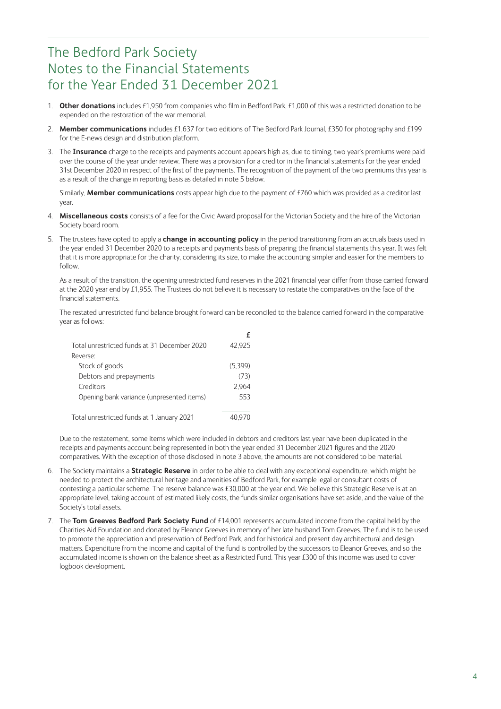### The Bedford Park Society Notes to the Financial Statements for the Year Ended 31 December 2021

- 1. **Other donations** includes £1,950 from companies who film in Bedford Park, £1,000 of this was a restricted donation to be expended on the restoration of the war memorial.
- 2. **Member communications** includes £1,637 for two editions of The Bedford Park Journal, £350 for photography and £199 for the E-news design and distribution platform.
- 3. The **Insurance** charge to the receipts and payments account appears high as, due to timing, two year's premiums were paid over the course of the year under review. There was a provision for a creditor in the financial statements for the year ended 31st December 2020 in respect of the first of the payments. The recognition of the payment of the two premiums this year is as a result of the change in reporting basis as detailed in note 5 below.

 Similarly, **Member communications** costs appear high due to the payment of £760 which was provided as a creditor last year.

- 4. **Miscellaneous costs** consists of a fee for the Civic Award proposal for the Victorian Society and the hire of the Victorian Society board room.
- 5. The trustees have opted to apply a **change in accounting policy** in the period transitioning from an accruals basis used in the year ended 31 December 2020 to a receipts and payments basis of preparing the financial statements this year. It was felt that it is more appropriate for the charity, considering its size, to make the accounting simpler and easier for the members to follow.

 As a result of the transition, the opening unrestricted fund reserves in the 2021 financial year differ from those carried forward at the 2020 year end by £1,955. The Trustees do not believe it is necessary to restate the comparatives on the face of the financial statements.

 The restated unrestricted fund balance brought forward can be reconciled to the balance carried forward in the comparative year as follows:

| Total unrestricted funds at 31 December 2020 | 42.925  |
|----------------------------------------------|---------|
| Reverse:                                     |         |
| Stock of goods                               | (5,399) |
| Debtors and prepayments                      | (73)    |
| Creditors                                    | 2.964   |
| Opening bank variance (unpresented items)    | 553     |
|                                              |         |
| Total unrestricted funds at 1 January 2021   |         |

 Due to the restatement, some items which were included in debtors and creditors last year have been duplicated in the receipts and payments account being represented in both the year ended 31 December 2021 figures and the 2020 comparatives. With the exception of those disclosed in note 3 above, the amounts are not considered to be material.

- 6. The Society maintains a **Strategic Reserve** in order to be able to deal with any exceptional expenditure, which might be needed to protect the architectural heritage and amenities of Bedford Park, for example legal or consultant costs of contesting a particular scheme. The reserve balance was £30,000 at the year end. We believe this Strategic Reserve is at an appropriate level, taking account of estimated likely costs, the funds similar organisations have set aside, and the value of the Society's total assets.
- 7. The **Tom Greeves Bedford Park Society Fund** of £14,001 represents accumulated income from the capital held by the Charities Aid Foundation and donated by Eleanor Greeves in memory of her late husband Tom Greeves. The fund is to be used to promote the appreciation and preservation of Bedford Park, and for historical and present day architectural and design matters. Expenditure from the income and capital of the fund is controlled by the successors to Eleanor Greeves, and so the accumulated income is shown on the balance sheet as a Restricted Fund. This year £300 of this income was used to cover logbook development.